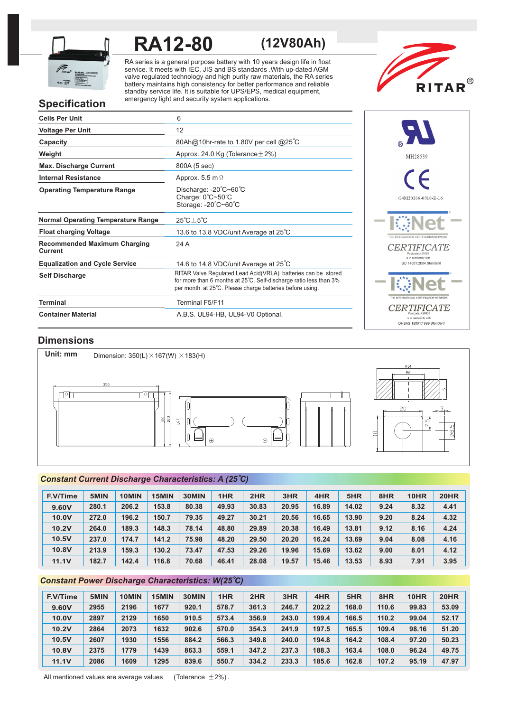

# **RA12-80 (12V80Ah)**

RA series is a general purpose battery with 10 years design life in float service. It meets with IEC, JIS and BS standards .With up-dated AGM valve regulated technology and high purity raw materials, the RA series battery maintains high consistency for better performance and reliable standby service life. It is suitable for UPS/EPS, medical equipment, emergency light and security system applications.



## **Specification**

| <b>Cells Per Unit</b>                          | 6                                                                                                                                                                                              |
|------------------------------------------------|------------------------------------------------------------------------------------------------------------------------------------------------------------------------------------------------|
| <b>Voltage Per Unit</b>                        | 12                                                                                                                                                                                             |
| Capacity                                       | 80Ah@10hr-rate to 1.80V per cell @25°C                                                                                                                                                         |
| Weight                                         | Approx. 24.0 Kg (Tolerance $\pm$ 2%)                                                                                                                                                           |
| <b>Max. Discharge Current</b>                  | 800A (5 sec)                                                                                                                                                                                   |
| <b>Internal Resistance</b>                     | Approx. 5.5 m $\Omega$                                                                                                                                                                         |
| <b>Operating Temperature Range</b>             | Discharge: $-20^{\circ}$ C $-60^{\circ}$ C<br>Charge: 0°C~50°C<br>Storage: -20°C~60°C                                                                                                          |
| <b>Normal Operating Temperature Range</b>      | $25^{\circ}$ C $\pm$ 5 $^{\circ}$ C                                                                                                                                                            |
| <b>Float charging Voltage</b>                  | 13.6 to 13.8 VDC/unit Average at 25°C                                                                                                                                                          |
| <b>Recommended Maximum Charging</b><br>Current | 24 A                                                                                                                                                                                           |
| <b>Equalization and Cycle Service</b>          | 14.6 to 14.8 VDC/unit Average at 25°C                                                                                                                                                          |
| <b>Self Discharge</b>                          | RITAR Valve Requlated Lead Acid(VRLA) batteries can be stored<br>for more than 6 months at 25°C. Self-discharge ratio less than 3%<br>per month at 25°C. Please charge batteries before using. |
| <b>Terminal</b>                                | Terminal F5/F11                                                                                                                                                                                |
| <b>Container Material</b>                      | A.B.S. UL94-HB, UL94-V0 Optional.                                                                                                                                                              |



## **Dimensions**



## *o Constant Current Discharge Characteristics: A (25 C)*

| <b>F.V/Time</b> | 5MIN  | 10MIN | 15MIN | 30MIN | 1HR   | 2HR   | 3HR   | 4HR   | 5HR   | 8HR  | 10HR | <b>20HR</b> |
|-----------------|-------|-------|-------|-------|-------|-------|-------|-------|-------|------|------|-------------|
| 9.60V           | 280.1 | 206.2 | 153.8 | 80.38 | 49.93 | 30.83 | 20.95 | 16.89 | 14.02 | 9.24 | 8.32 | 4.41        |
| 10.0V           | 272.0 | 196.2 | 150.7 | 79.35 | 49.27 | 30.21 | 20.56 | 16.65 | 13.90 | 9.20 | 8.24 | 4.32        |
| 10.2V           | 264.0 | 189.3 | 148.3 | 78.14 | 48.80 | 29.89 | 20.38 | 16.49 | 13.81 | 9.12 | 8.16 | 4.24        |
| 10.5V           | 237.0 | 174.7 | 141.2 | 75.98 | 48.20 | 29.50 | 20.20 | 16.24 | 13.69 | 9.04 | 8.08 | 4.16        |
| 10.8V           | 213.9 | 159.3 | 130.2 | 73.47 | 47.53 | 29.26 | 19.96 | 15.69 | 13.62 | 9.00 | 8.01 | 4.12        |
| 11.1V           | 182.7 | 142.4 | 116.8 | 70.68 | 46.41 | 28.08 | 19.57 | 15.46 | 13.53 | 8.93 | 7.91 | 3.95        |

## *o Constant Power Discharge Characteristics: W(25 C)*

| <b>F.V/Time</b> | 5MIN | 10MIN | 15MIN | 30MIN | 1HR   | 2HR   | 3HR   | 4HR   | 5HR   | 8HR   | 10HR  | <b>20HR</b> |
|-----------------|------|-------|-------|-------|-------|-------|-------|-------|-------|-------|-------|-------------|
| 9.60V           | 2955 | 2196  | 1677  | 920.1 | 578.7 | 361.3 | 246.7 | 202.2 | 168.0 | 110.6 | 99.83 | 53.09       |
| 10.0V           | 2897 | 2129  | 1650  | 910.5 | 573.4 | 356.9 | 243.0 | 199.4 | 166.5 | 110.2 | 99.04 | 52.17       |
| 10.2V           | 2864 | 2073  | 1632  | 902.6 | 570.0 | 354.3 | 241.9 | 197.5 | 165.5 | 109.4 | 98.16 | 51.20       |
| 10.5V           | 2607 | 1930  | 1556  | 884.2 | 566.3 | 349.8 | 240.0 | 194.8 | 164.2 | 108.4 | 97.20 | 50.23       |
| 10.8V           | 2375 | 1779  | 1439  | 863.3 | 559.1 | 347.2 | 237.3 | 188.3 | 163.4 | 108.0 | 96.24 | 49.75       |
| <b>11.1V</b>    | 2086 | 1609  | 1295  | 839.6 | 550.7 | 334.2 | 233.3 | 185.6 | 162.8 | 107.2 | 95.19 | 47.97       |

All mentioned values are average values (Tolerance  $\pm 2\%$ ).